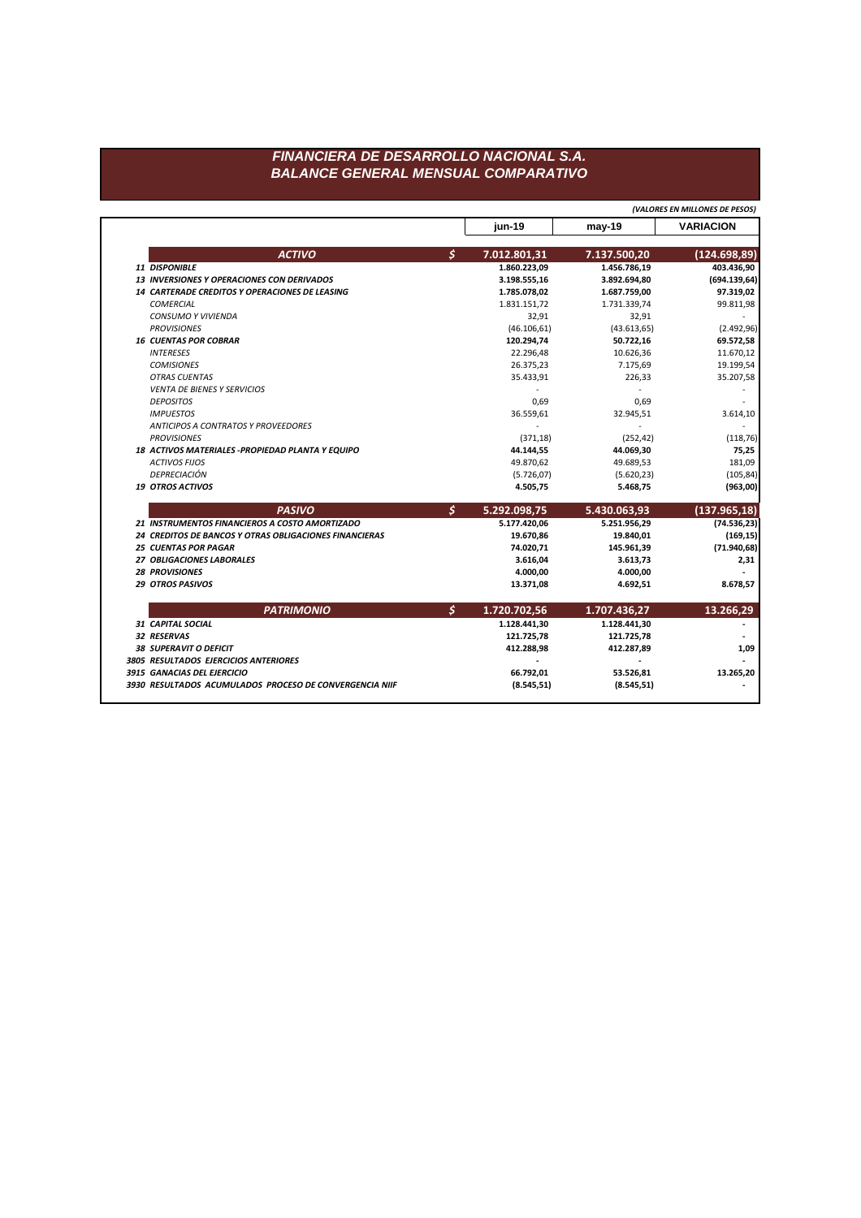## FINANCIERA DE DESARROLLO NACIONAL S.A. **BALANCE GENERAL MENSUAL COMPARATIVO**

(VALORES EN MILLONES DE PESOS)

|                                                         |              | jun-19       | $may-19$     | <b>VARIACION</b> |
|---------------------------------------------------------|--------------|--------------|--------------|------------------|
| <b>ACTIVO</b>                                           | $\mathsf{S}$ | 7.012.801,31 | 7.137.500,20 | (124.698,89)     |
| 11 DISPONIBLE                                           |              | 1.860.223,09 | 1.456.786,19 | 403.436,90       |
| <b>13 INVERSIONES Y OPERACIONES CON DERIVADOS</b>       |              | 3.198.555,16 | 3.892.694,80 | (694.139, 64)    |
| 14 CARTERADE CREDITOS Y OPERACIONES DE LEASING          |              | 1.785.078,02 | 1.687.759,00 | 97.319,02        |
| <b>COMERCIAL</b>                                        |              | 1.831.151,72 | 1.731.339,74 | 99.811,98        |
| CONSUMO Y VIVIENDA                                      |              | 32,91        | 32,91        |                  |
| <b>PROVISIONES</b>                                      |              | (46.106, 61) | (43.613, 65) | (2.492,96)       |
| <b>16 CUENTAS POR COBRAR</b>                            |              | 120.294,74   | 50.722,16    | 69.572,58        |
| <b>INTERESES</b>                                        |              | 22.296,48    | 10.626,36    | 11.670,12        |
| <b>COMISIONES</b>                                       |              | 26.375,23    | 7.175,69     | 19.199,54        |
| <b>OTRAS CUENTAS</b>                                    |              | 35.433,91    | 226,33       | 35.207,58        |
| <b>VENTA DE BIENES Y SERVICIOS</b>                      |              |              |              |                  |
| <b>DEPOSITOS</b>                                        |              | 0,69         | 0,69         |                  |
| <b>IMPUESTOS</b>                                        |              | 36.559,61    | 32.945,51    | 3.614,10         |
| <b>ANTICIPOS A CONTRATOS Y PROVEEDORES</b>              |              |              |              |                  |
| <b>PROVISIONES</b>                                      |              | (371, 18)    | (252, 42)    | (118, 76)        |
| 18 ACTIVOS MATERIALES - PROPIEDAD PLANTA Y EQUIPO       |              | 44.144,55    | 44.069,30    | 75,25            |
| <b>ACTIVOS FIJOS</b>                                    |              | 49.870,62    | 49.689,53    | 181,09           |
| DEPRECIACIÓN                                            |              | (5.726, 07)  | (5.620, 23)  | (105, 84)        |
| <b>19 OTROS ACTIVOS</b>                                 |              | 4.505,75     | 5.468,75     | (963,00)         |
| <b>PASIVO</b>                                           | $\mathsf{S}$ | 5.292.098,75 | 5.430.063,93 | (137.965, 18)    |
| 21 INSTRUMENTOS FINANCIEROS A COSTO AMORTIZADO          |              | 5.177.420,06 | 5.251.956,29 | (74.536, 23)     |
| 24 CREDITOS DE BANCOS Y OTRAS OBLIGACIONES FINANCIERAS  |              | 19.670,86    | 19.840,01    | (169, 15)        |
| <b>25 CUENTAS POR PAGAR</b>                             |              | 74.020,71    | 145.961,39   | (71.940, 68)     |
| 27 OBLIGACIONES LABORALES                               |              | 3.616,04     | 3.613,73     | 2,31             |
| <b>28 PROVISIONES</b>                                   |              | 4.000,00     | 4.000,00     |                  |
| <b>29 OTROS PASIVOS</b>                                 |              | 13.371,08    | 4.692,51     | 8.678,57         |
| <b>PATRIMONIO</b>                                       |              | 1.720.702,56 | 1.707.436,27 | 13.266,29        |
| 31 CAPITAL SOCIAL                                       |              | 1.128.441,30 | 1.128.441,30 |                  |
| 32 RESERVAS                                             |              | 121.725,78   | 121.725,78   |                  |
| <b>38 SUPERAVIT O DEFICIT</b>                           |              | 412.288,98   | 412.287,89   | 1,09             |
| 3805 RESULTADOS EJERCICIOS ANTERIORES                   |              |              |              |                  |
| 3915 GANACIAS DEL EJERCICIO                             |              | 66.792,01    | 53.526,81    | 13.265,20        |
| 3930 RESULTADOS ACUMULADOS PROCESO DE CONVERGENCIA NIIF |              | (8.545, 51)  | (8.545, 51)  |                  |
|                                                         |              |              |              |                  |